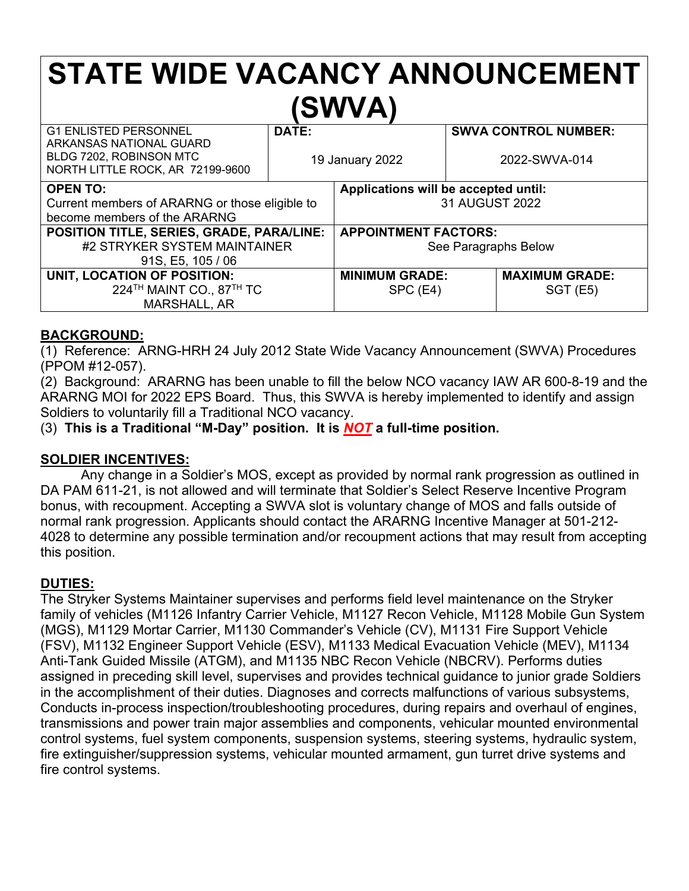# **STATE WIDE VACANCY ANNOUNCEMENT (SWVA)**

| <b>G1 ENLISTED PERSONNEL</b><br>ARKANSAS NATIONAL GUARD<br>BLDG 7202, ROBINSON MTC<br>NORTH LITTLE ROCK, AR 72199-9600 | DATE:<br>19 January 2022 |                                                        |  | <b>SWVA CONTROL NUMBER:</b><br>2022-SWVA-014 |
|------------------------------------------------------------------------------------------------------------------------|--------------------------|--------------------------------------------------------|--|----------------------------------------------|
| <b>OPEN TO:</b><br>Current members of ARARNG or those eligible to<br>become members of the ARARNG                      |                          | Applications will be accepted until:<br>31 AUGUST 2022 |  |                                              |
| POSITION TITLE, SERIES, GRADE, PARA/LINE:<br>#2 STRYKER SYSTEM MAINTAINER<br>91S, E5, 105 / 06                         |                          | <b>APPOINTMENT FACTORS:</b><br>See Paragraphs Below    |  |                                              |
| UNIT, LOCATION OF POSITION:<br>224 <sup>TH</sup> MAINT CO., 87 <sup>TH</sup> TC<br>MARSHALL, AR                        |                          | <b>MINIMUM GRADE:</b><br>SPC (E4)                      |  | <b>MAXIMUM GRADE:</b><br>SGT(E5)             |

### **BACKGROUND:**

(1) Reference: ARNG-HRH 24 July 2012 State Wide Vacancy Announcement (SWVA) Procedures (PPOM #12-057).

(2) Background: ARARNG has been unable to fill the below NCO vacancy IAW AR 600-8-19 and the ARARNG MOI for 2022 EPS Board. Thus, this SWVA is hereby implemented to identify and assign Soldiers to voluntarily fill a Traditional NCO vacancy.

(3) **This is a Traditional "M-Day" position. It is** *NOT* **a full-time position.**

### **SOLDIER INCENTIVES:**

Any change in a Soldier's MOS, except as provided by normal rank progression as outlined in DA PAM 611-21, is not allowed and will terminate that Soldier's Select Reserve Incentive Program bonus, with recoupment. Accepting a SWVA slot is voluntary change of MOS and falls outside of normal rank progression. Applicants should contact the ARARNG Incentive Manager at 501-212- 4028 to determine any possible termination and/or recoupment actions that may result from accepting this position.

### **DUTIES:**

The Stryker Systems Maintainer supervises and performs field level maintenance on the Stryker family of vehicles (M1126 Infantry Carrier Vehicle, M1127 Recon Vehicle, M1128 Mobile Gun System (MGS), M1129 Mortar Carrier, M1130 Commander's Vehicle (CV), M1131 Fire Support Vehicle (FSV), M1132 Engineer Support Vehicle (ESV), M1133 Medical Evacuation Vehicle (MEV), M1134 Anti-Tank Guided Missile (ATGM), and M1135 NBC Recon Vehicle (NBCRV). Performs duties assigned in preceding skill level, supervises and provides technical guidance to junior grade Soldiers in the accomplishment of their duties. Diagnoses and corrects malfunctions of various subsystems, Conducts in-process inspection/troubleshooting procedures, during repairs and overhaul of engines, transmissions and power train major assemblies and components, vehicular mounted environmental control systems, fuel system components, suspension systems, steering systems, hydraulic system, fire extinguisher/suppression systems, vehicular mounted armament, gun turret drive systems and fire control systems.